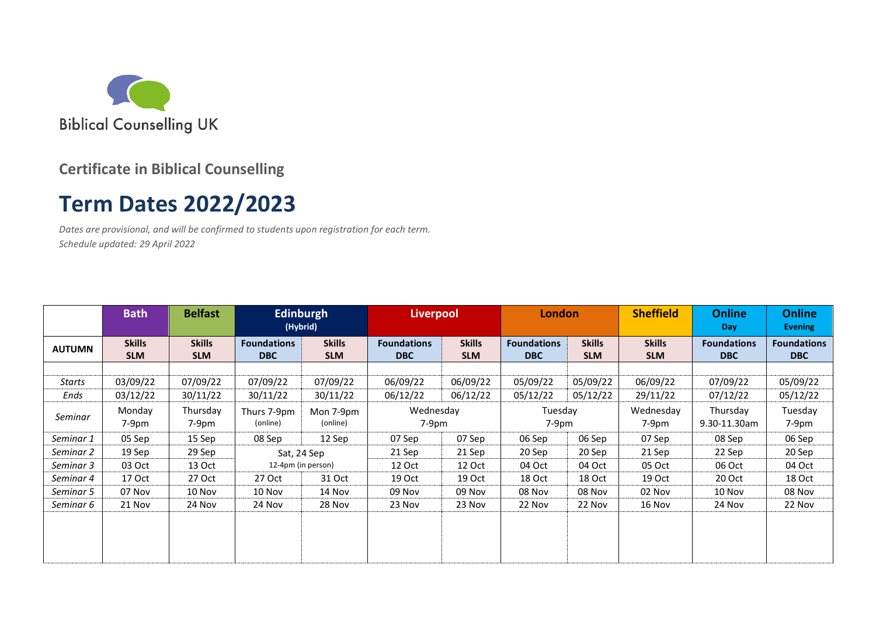

### **Certificate in Biblical Counselling**

# **Term Dates 2022/2023**

*Dates are provisional, and will be confirmed to students upon registration for each term. Schedule updated: 29 April 2022*

|               | <b>Bath</b>                 | <b>Belfast</b>              | <b>Edinburgh</b><br>(Hybrid)     |                             | <b>Liverpool</b>                 |                             | <b>London</b>                    |                             | <b>Sheffield</b>            | <b>Online</b><br><b>Day</b>      | <b>Online</b><br><b>Evening</b>  |
|---------------|-----------------------------|-----------------------------|----------------------------------|-----------------------------|----------------------------------|-----------------------------|----------------------------------|-----------------------------|-----------------------------|----------------------------------|----------------------------------|
| <b>AUTUMN</b> | <b>Skills</b><br><b>SLM</b> | <b>Skills</b><br><b>SLM</b> | <b>Foundations</b><br><b>DBC</b> | <b>Skills</b><br><b>SLM</b> | <b>Foundations</b><br><b>DBC</b> | <b>Skills</b><br><b>SLM</b> | <b>Foundations</b><br><b>DBC</b> | <b>Skills</b><br><b>SLM</b> | <b>Skills</b><br><b>SLM</b> | <b>Foundations</b><br><b>DBC</b> | <b>Foundations</b><br><b>DBC</b> |
|               |                             |                             |                                  |                             |                                  |                             |                                  |                             |                             |                                  |                                  |
| <b>Starts</b> | 03/09/22                    | 07/09/22                    | 07/09/22                         | 07/09/22                    | 06/09/22                         | 06/09/22                    | 05/09/22                         | 05/09/22                    | 06/09/22                    | 07/09/22                         | 05/09/22                         |
| Ends          | 03/12/22                    | 30/11/22                    | 30/11/22                         | 30/11/22                    | 06/12/22                         | 06/12/22                    | 05/12/22                         | 05/12/22                    | 29/11/22                    | 07/12/22                         | 05/12/22                         |
| Seminar       | Monday<br>7-9pm             | Thursday<br>7-9pm           | Thurs 7-9pm<br>(online)          | Mon 7-9pm<br>(online)       | Wednesday<br>$7-9pm$             |                             | Tuesday<br>$7-9pm$               |                             | Wednesday<br>7-9pm          | Thursday<br>9.30-11.30am         | Tuesday<br>7-9pm                 |
| Seminar 1     | 05 Sep                      | 15 Sep                      | 08 Sep                           | 12 Sep                      | 07 Sep                           | 07 Sep                      | 06 Sep                           | 06 Sep                      | 07 Sep                      | 08 Sep                           | 06 Sep                           |
| Seminar 2     | 19 Sep                      | 29 Sep                      | Sat, 24 Sep                      |                             | 21 Sep                           | 21 Sep                      | 20 Sep                           | 20 Sep                      | 21 Sep                      | 22 Sep                           | 20 Sep                           |
| Seminar 3     | 03 Oct                      | 13 Oct                      | 12-4pm (in person)               |                             | 12 Oct                           | 12 Oct                      | 04 Oct                           | 04 Oct                      | 05 Oct                      | 06 Oct                           | 04 Oct                           |
| Seminar 4     | 17 Oct                      | 27 Oct                      | 27 Oct                           | 31 Oct                      | 19 Oct                           | 19 Oct                      | 18 Oct                           | 18 Oct                      | 19 Oct                      | 20 Oct                           | 18 Oct                           |
| Seminar 5     | 07 Nov                      | 10 Nov                      | 10 Nov                           | 14 Nov                      | 09 Nov                           | 09 Nov                      | 08 Nov                           | 08 Nov                      | 02 Nov                      | 10 Nov                           | 08 Nov                           |
| Seminar 6     | 21 Nov                      | 24 Nov                      | 24 Nov                           | 28 Nov                      | 23 Nov                           | 23 Nov                      | 22 Nov                           | 22 Nov                      | 16 Nov                      | 24 Nov                           | 22 Nov                           |
|               |                             |                             |                                  |                             |                                  |                             |                                  |                             |                             |                                  |                                  |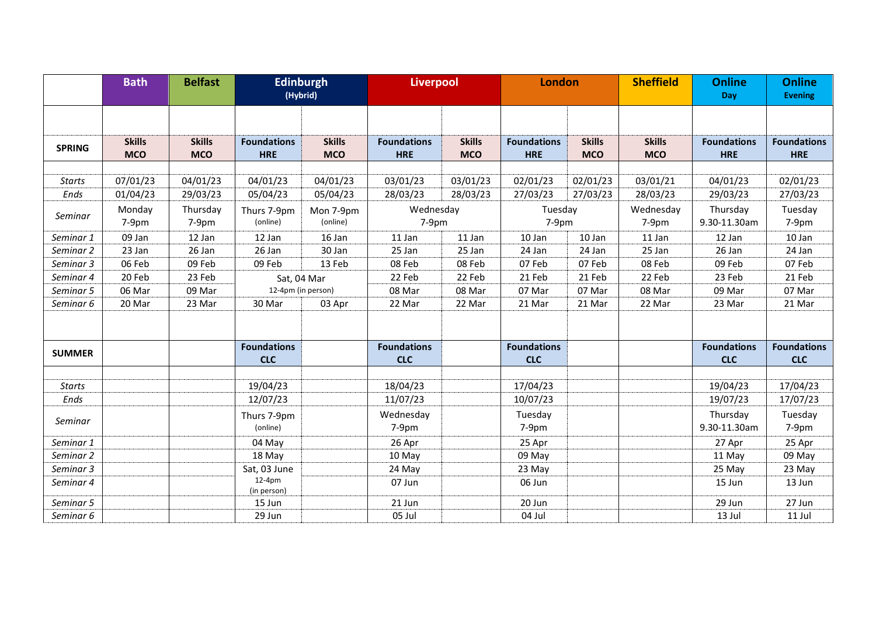|               | <b>Bath</b>   | <b>Belfast</b> | (Hybrid)                | <b>Edinburgh</b> | <b>Liverpool</b>   |               | London             |               | <b>Sheffield</b> | <b>Online</b><br>Day | <b>Online</b><br><b>Evening</b> |
|---------------|---------------|----------------|-------------------------|------------------|--------------------|---------------|--------------------|---------------|------------------|----------------------|---------------------------------|
|               | <b>Skills</b> | <b>Skills</b>  | <b>Foundations</b>      | <b>Skills</b>    | <b>Foundations</b> | <b>Skills</b> | <b>Foundations</b> | <b>Skills</b> | <b>Skills</b>    | <b>Foundations</b>   | <b>Foundations</b>              |
| <b>SPRING</b> | <b>MCO</b>    | <b>MCO</b>     | <b>HRE</b>              | <b>MCO</b>       | <b>HRE</b>         | <b>MCO</b>    | <b>HRE</b>         | <b>MCO</b>    | <b>MCO</b>       | <b>HRE</b>           | <b>HRE</b>                      |
|               |               |                |                         |                  |                    |               |                    |               |                  |                      |                                 |
| <b>Starts</b> | 07/01/23      | 04/01/23       | 04/01/23                | 04/01/23         | 03/01/23           | 03/01/23      | 02/01/23           | 02/01/23      | 03/01/21         | 04/01/23             | 02/01/23                        |
| Ends          | 01/04/23      | 29/03/23       | 05/04/23                | 05/04/23         | 28/03/23           | 28/03/23      | 27/03/23           | 27/03/23      | 28/03/23         | 29/03/23             | 27/03/23                        |
|               | Monday        | Thursday       | Thurs 7-9pm             | Mon 7-9pm        | Wednesday          |               | Tuesday            |               | Wednesday        | Thursday             | Tuesday                         |
| Seminar       | 7-9pm         | 7-9pm          | (online)<br>(online)    |                  | 7-9pm              |               | 7-9pm              |               | 7-9pm            | 9.30-11.30am         | 7-9pm                           |
| Seminar 1     | 09 Jan        | 12 Jan         | 12 Jan                  | 16 Jan           | 11 Jan             | 11 Jan        | 10 Jan             | 10 Jan        | 11 Jan           | 12 Jan               | 10 Jan                          |
| Seminar 2     | 23 Jan        | 26 Jan         | 26 Jan                  | 30 Jan           | 25 Jan             | 25 Jan        | 24 Jan             | 24 Jan        | 25 Jan           | 26 Jan               | 24 Jan                          |
| Seminar 3     | 06 Feb        | 09 Feb         | 09 Feb                  | 13 Feb           | 08 Feb             | 08 Feb        | 07 Feb             | 07 Feb        | 08 Feb           | 09 Feb               | 07 Feb                          |
| Seminar 4     | 20 Feb        | 23 Feb         | Sat, 04 Mar             |                  | 22 Feb             | 22 Feb        | 21 Feb             | 21 Feb        | 22 Feb           | 23 Feb               | 21 Feb                          |
| Seminar 5     | 06 Mar        | 09 Mar         | 12-4pm (in person)      |                  | 08 Mar             | 08 Mar        | 07 Mar             | 07 Mar        | 08 Mar           | 09 Mar               | 07 Mar                          |
| Seminar 6     | 20 Mar        | 23 Mar         | 30 Mar                  | 03 Apr           | 22 Mar             | 22 Mar        | 21 Mar             | 21 Mar        | 22 Mar           | 23 Mar               | 21 Mar                          |
|               |               |                |                         |                  |                    |               |                    |               |                  |                      |                                 |
|               |               |                | <b>Foundations</b>      |                  | <b>Foundations</b> |               | <b>Foundations</b> |               |                  | <b>Foundations</b>   | <b>Foundations</b>              |
| <b>SUMMER</b> |               |                | <b>CLC</b>              |                  | <b>CLC</b>         |               | <b>CLC</b>         |               |                  | <b>CLC</b>           | <b>CLC</b>                      |
|               |               |                |                         |                  |                    |               |                    |               |                  |                      |                                 |
| <b>Starts</b> |               |                | 19/04/23                |                  | 18/04/23           |               | 17/04/23           |               |                  | 19/04/23             | 17/04/23                        |
| Ends          |               |                | 12/07/23                |                  | 11/07/23           |               | 10/07/23           |               |                  | 19/07/23             | 17/07/23                        |
|               |               |                | Thurs 7-9pm             |                  | Wednesday          |               | Tuesday            |               |                  | Thursday             | Tuesday                         |
| Seminar       |               |                | (online)                |                  | 7-9pm              |               | 7-9pm              |               |                  | 9.30-11.30am         | 7-9pm                           |
| Seminar 1     |               |                | 04 May                  |                  | 26 Apr             |               | 25 Apr             |               |                  | 27 Apr               | 25 Apr                          |
| Seminar 2     |               |                | 18 May                  |                  | 10 May             |               | 09 May             |               |                  | 11 May               | 09 May                          |
| Seminar 3     |               |                | Sat, 03 June            |                  | 24 May             |               | 23 May             |               |                  | 25 May               | 23 May                          |
| Seminar 4     |               |                | $12-4pm$<br>(in person) |                  | 07 Jun             |               | 06 Jun             |               |                  | 15 Jun               | 13 Jun                          |
| Seminar 5     |               |                | 15 Jun                  |                  | 21 Jun             |               | 20 Jun             |               |                  | 29 Jun               | 27 Jun                          |
| Seminar 6     |               |                | 29 Jun                  |                  | 05 Jul             |               | 04 Jul             |               |                  | 13 Jul               | 11 Jul                          |